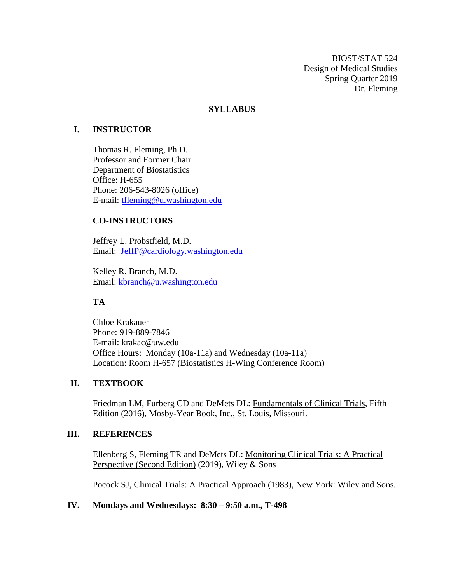BIOST/STAT 524 Design of Medical Studies Spring Quarter 2019 Dr. Fleming

## **SYLLABUS**

## **I. INSTRUCTOR**

Thomas R. Fleming, Ph.D. Professor and Former Chair Department of Biostatistics Office: H-655 Phone: 206-543-8026 (office) E-mail: [tfleming@u.washington.edu](mailto:tfleming@u.washington.edu)

## **CO-INSTRUCTORS**

Jeffrey L. Probstfield, M.D. Email: [JeffP@cardiology.washington.edu](mailto:JeffP@cardiology.washington.edu)

Kelley R. Branch, M.D. Email: [kbranch@u.washington.edu](mailto:kbranch@u.washington.edu)

## **TA**

Chloe Krakauer Phone: 919-889-7846 E-mail: krakac@uw.edu Office Hours: Monday (10a-11a) and Wednesday (10a-11a) Location: Room H-657 (Biostatistics H-Wing Conference Room)

## **II. TEXTBOOK**

Friedman LM, Furberg CD and DeMets DL: Fundamentals of Clinical Trials, Fifth Edition (2016), Mosby-Year Book, Inc., St. Louis, Missouri.

## **III. REFERENCES**

Ellenberg S, Fleming TR and DeMets DL: Monitoring Clinical Trials: A Practical Perspective (Second Edition) (2019), Wiley & Sons

Pocock SJ, Clinical Trials: A Practical Approach (1983), New York: Wiley and Sons.

## **IV. Mondays and Wednesdays: 8:30 – 9:50 a.m., T-498**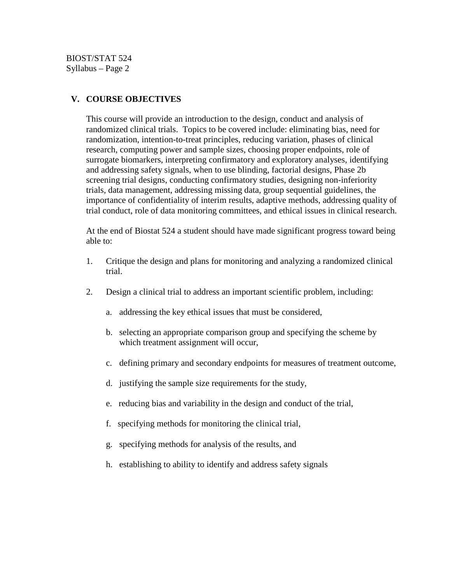## **V. COURSE OBJECTIVES**

This course will provide an introduction to the design, conduct and analysis of randomized clinical trials. Topics to be covered include: eliminating bias, need for randomization, intention-to-treat principles, reducing variation, phases of clinical research, computing power and sample sizes, choosing proper endpoints, role of surrogate biomarkers, interpreting confirmatory and exploratory analyses, identifying and addressing safety signals, when to use blinding, factorial designs, Phase 2b screening trial designs, conducting confirmatory studies, designing non-inferiority trials, data management, addressing missing data, group sequential guidelines, the importance of confidentiality of interim results, adaptive methods, addressing quality of trial conduct, role of data monitoring committees, and ethical issues in clinical research.

At the end of Biostat 524 a student should have made significant progress toward being able to:

- 1. Critique the design and plans for monitoring and analyzing a randomized clinical trial.
- 2. Design a clinical trial to address an important scientific problem, including:
	- a. addressing the key ethical issues that must be considered,
	- b. selecting an appropriate comparison group and specifying the scheme by which treatment assignment will occur,
	- c. defining primary and secondary endpoints for measures of treatment outcome,
	- d. justifying the sample size requirements for the study,
	- e. reducing bias and variability in the design and conduct of the trial,
	- f. specifying methods for monitoring the clinical trial,
	- g. specifying methods for analysis of the results, and
	- h. establishing to ability to identify and address safety signals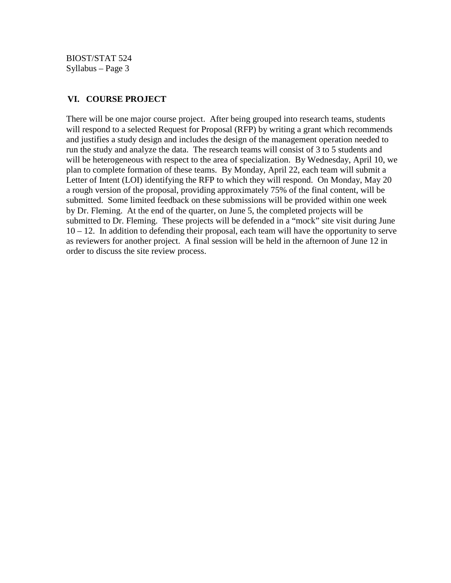BIOST/STAT 524 Syllabus – Page 3

## **VI. COURSE PROJECT**

There will be one major course project. After being grouped into research teams, students will respond to a selected Request for Proposal (RFP) by writing a grant which recommends and justifies a study design and includes the design of the management operation needed to run the study and analyze the data. The research teams will consist of 3 to 5 students and will be heterogeneous with respect to the area of specialization. By Wednesday, April 10, we plan to complete formation of these teams. By Monday, April 22, each team will submit a Letter of Intent (LOI) identifying the RFP to which they will respond. On Monday, May 20 a rough version of the proposal, providing approximately 75% of the final content, will be submitted. Some limited feedback on these submissions will be provided within one week by Dr. Fleming. At the end of the quarter, on June 5, the completed projects will be submitted to Dr. Fleming. These projects will be defended in a "mock" site visit during June  $10 - 12$ . In addition to defending their proposal, each team will have the opportunity to serve as reviewers for another project. A final session will be held in the afternoon of June 12 in order to discuss the site review process.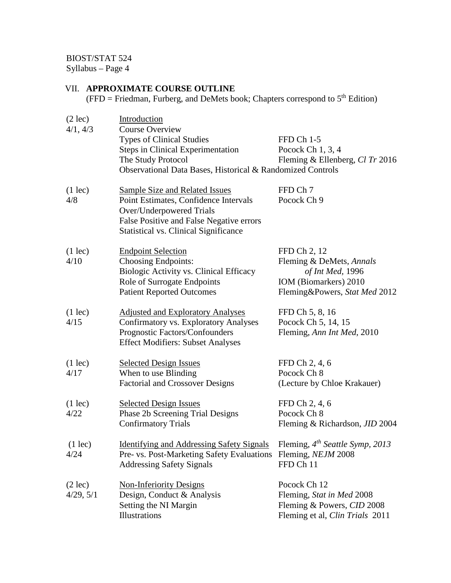BIOST/STAT 524

Syllabus – Page 4

## VII. **APPROXIMATE COURSE OUTLINE**

(FFD = Friedman, Furberg, and DeMets book; Chapters correspond to  $5<sup>th</sup>$  Edition)

| $(2 \text{lec})$<br>4/1, 4/3   | Introduction<br><b>Course Overview</b><br><b>Types of Clinical Studies</b><br><b>Steps in Clinical Experimentation</b><br>The Study Protocol<br>Observational Data Bases, Historical & Randomized Controls | FFD Ch 1-5<br>Pocock Ch 1, 3, 4<br>Fleming & Ellenberg, Cl Tr 2016                                                     |
|--------------------------------|------------------------------------------------------------------------------------------------------------------------------------------------------------------------------------------------------------|------------------------------------------------------------------------------------------------------------------------|
| $(1 \text{lec})$<br>4/8        | <b>Sample Size and Related Issues</b><br>Point Estimates, Confidence Intervals<br>Over/Underpowered Trials<br>False Positive and False Negative errors<br><b>Statistical vs. Clinical Significance</b>     | FFD Ch 7<br>Pocock Ch 9                                                                                                |
| $(1 \text{lec})$<br>4/10       | <b>Endpoint Selection</b><br><b>Choosing Endpoints:</b><br>Biologic Activity vs. Clinical Efficacy<br>Role of Surrogate Endpoints<br><b>Patient Reported Outcomes</b>                                      | FFD Ch 2, 12<br>Fleming & DeMets, Annals<br>of Int Med, 1996<br>IOM (Biomarkers) 2010<br>Fleming&Powers, Stat Med 2012 |
| $(1 \text{lec})$<br>4/15       | <b>Adjusted and Exploratory Analyses</b><br><b>Confirmatory vs. Exploratory Analyses</b><br>Prognostic Factors/Confounders<br><b>Effect Modifiers: Subset Analyses</b>                                     | FFD Ch 5, 8, 16<br>Pocock Ch 5, 14, 15<br>Fleming, Ann Int Med, 2010                                                   |
| $(1 \text{lec})$<br>4/17       | <b>Selected Design Issues</b><br>When to use Blinding<br><b>Factorial and Crossover Designs</b>                                                                                                            | FFD Ch 2, 4, 6<br>Pocock Ch 8<br>(Lecture by Chloe Krakauer)                                                           |
| $(1 \text{lec})$<br>4/22       | <b>Selected Design Issues</b><br>Phase 2b Screening Trial Designs<br><b>Confirmatory Trials</b>                                                                                                            | FFD Ch 2, 4, 6<br>Pocock Ch 8<br>Fleming & Richardson, JID 2004                                                        |
| $(1 \text{lec})$<br>4/24       | Identifying and Addressing Safety Signals Fleming, 4 <sup>th</sup> Seattle Symp, 2013<br>Pre- vs. Post-Marketing Safety Evaluations Fleming, NEJM 2008<br><b>Addressing Safety Signals</b>                 | FFD Ch 11                                                                                                              |
| $(2 \text{ lec})$<br>4/29, 5/1 | <b>Non-Inferiority Designs</b><br>Design, Conduct & Analysis<br>Setting the NI Margin<br>Illustrations                                                                                                     | Pocock Ch 12<br>Fleming, Stat in Med 2008<br>Fleming & Powers, CID 2008<br>Fleming et al, Clin Trials 2011             |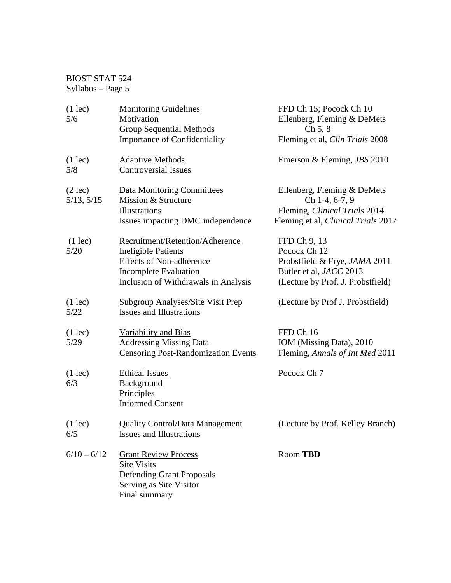# BIOST STAT 524  $Syllabus - Page 5$

| $(1 \text{lec})$<br>5/6         | <b>Monitoring Guidelines</b><br>Motivation                                                                                                                               | FFD Ch 15; Pocock Ch 10<br>Ellenberg, Fleming & DeMets                                                                        |
|---------------------------------|--------------------------------------------------------------------------------------------------------------------------------------------------------------------------|-------------------------------------------------------------------------------------------------------------------------------|
|                                 | <b>Group Sequential Methods</b>                                                                                                                                          | Ch 5, 8                                                                                                                       |
|                                 | <b>Importance of Confidentiality</b>                                                                                                                                     | Fleming et al, Clin Trials 2008                                                                                               |
| $(1 \text{lec})$<br>5/8         | <b>Adaptive Methods</b><br><b>Controversial Issues</b>                                                                                                                   | Emerson & Fleming, <i>JBS</i> 2010                                                                                            |
| $(2 \text{ lec})$<br>5/13, 5/15 | <b>Data Monitoring Committees</b><br>Mission & Structure<br>Illustrations                                                                                                | Ellenberg, Fleming & DeMets<br>Ch 1-4, 6-7, 9<br>Fleming, Clinical Trials 2014                                                |
|                                 | Issues impacting DMC independence                                                                                                                                        | Fleming et al, <i>Clinical Trials</i> 2017                                                                                    |
| $(1 \text{lec})$<br>5/20        | Recruitment/Retention/Adherence<br><b>Ineligible Patients</b><br><b>Effects of Non-adherence</b><br><b>Incomplete Evaluation</b><br>Inclusion of Withdrawals in Analysis | FFD Ch 9, 13<br>Pocock Ch 12<br>Probstfield & Frye, JAMA 2011<br>Butler et al, JACC 2013<br>(Lecture by Prof. J. Probstfield) |
| $(1 \text{lec})$<br>5/22        | <b>Subgroup Analyses/Site Visit Prep</b><br><b>Issues and Illustrations</b>                                                                                              | (Lecture by Prof J. Probstfield)                                                                                              |
| $(1 \text{lec})$<br>5/29        | Variability and Bias<br><b>Addressing Missing Data</b><br><b>Censoring Post-Randomization Events</b>                                                                     | FFD Ch 16<br>IOM (Missing Data), 2010<br>Fleming, Annals of Int Med 2011                                                      |
| $(1 \text{lec})$<br>6/3         | <b>Ethical Issues</b><br>Background<br>Principles<br><b>Informed Consent</b>                                                                                             | Pocock Ch 7                                                                                                                   |
| $(1 \text{lec})$<br>6/5         | <b>Quality Control/Data Management</b><br><b>Issues and Illustrations</b>                                                                                                | (Lecture by Prof. Kelley Branch)                                                                                              |
| $6/10 - 6/12$                   | <b>Grant Review Process</b><br><b>Site Visits</b><br><b>Defending Grant Proposals</b><br>Serving as Site Visitor<br>Final summary                                        | Room TBD                                                                                                                      |